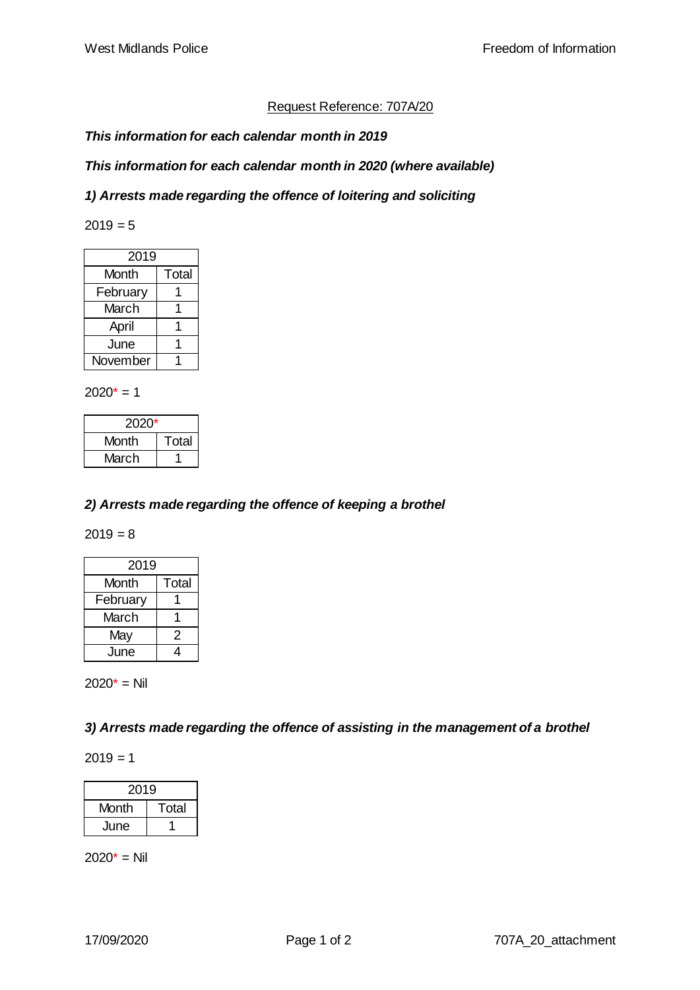# Request Reference: 707A/20

## *This information for each calendar month in 2019*

## *This information for each calendar month in 2020 (where available)*

#### *1) Arrests made regarding the offence of loitering and soliciting*

 $2019 = 5$ 

| 2019     |       |
|----------|-------|
| Month    | Total |
| February |       |
| March    |       |
| April    |       |
| June     |       |
| November |       |

 $2020* = 1$ 

| 2020* |       |
|-------|-------|
| Month | Total |
| March |       |

#### *2) Arrests made regarding the offence of keeping a brothel*

 $2019 = 8$ 

| 2019     |       |
|----------|-------|
| Month    | Total |
| February |       |
| March    |       |
| May      | 2     |
| June     |       |

 $2020* =$  Nil

*3) Arrests made regarding the offence of assisting in the management of a brothel*

 $2019 = 1$ 

| 2019  |       |  |
|-------|-------|--|
| Month | Total |  |
| June  |       |  |

 $2020* =$  Nil